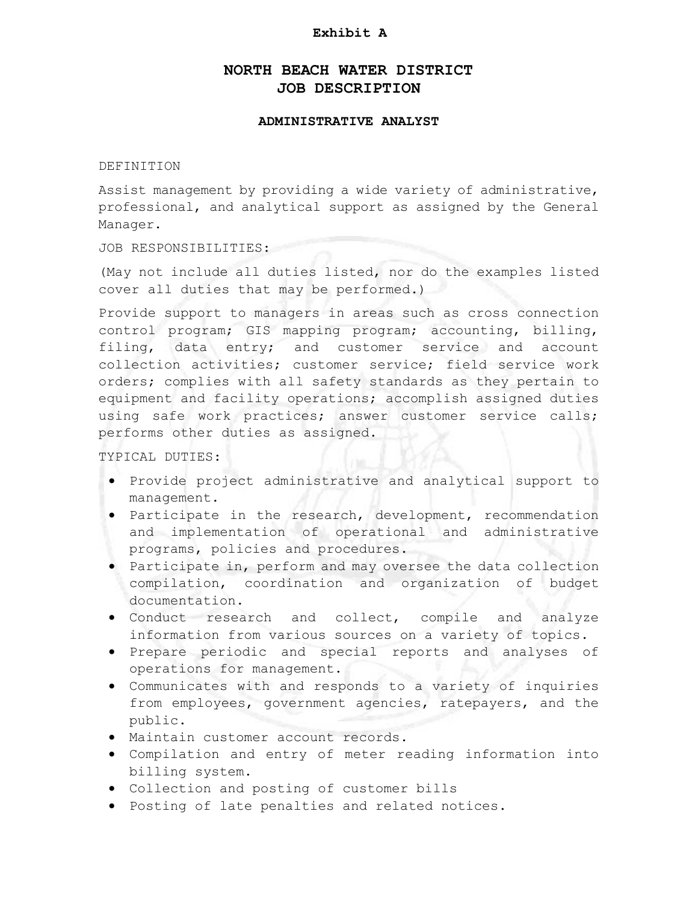#### **Exhibit A**

# **NORTH BEACH WATER DISTRICT JOB DESCRIPTION**

#### **ADMINISTRATIVE ANALYST**

#### DEFINITION

Assist management by providing a wide variety of administrative, professional, and analytical support as assigned by the General Manager.

JOB RESPONSIBILITIES:

(May not include all duties listed, nor do the examples listed cover all duties that may be performed.)

Provide support to managers in areas such as cross connection control program; GIS mapping program; accounting, billing, filing, data entry; and customer service and account collection activities; customer service; field service work orders; complies with all safety standards as they pertain to equipment and facility operations; accomplish assigned duties using safe work practices; answer customer service calls; performs other duties as assigned.

TYPICAL DUTIES:

- Provide project administrative and analytical support to management.
- Participate in the research, development, recommendation and implementation of operational and administrative programs, policies and procedures.
- Participate in, perform and may oversee the data collection compilation, coordination and organization of budget documentation.
- Conduct research and collect, compile and analyze information from various sources on a variety of topics.
- Prepare periodic and special reports and analyses of operations for management.
- Communicates with and responds to a variety of inquiries from employees, government agencies, ratepayers, and the public.
- Maintain customer account records.
- Compilation and entry of meter reading information into billing system.
- Collection and posting of customer bills
- Posting of late penalties and related notices.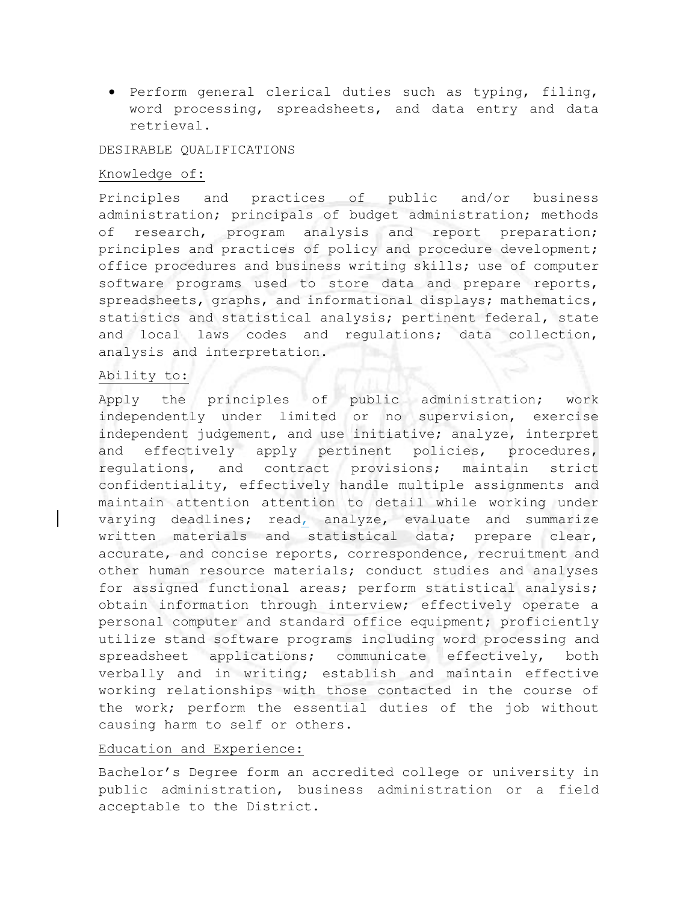Perform general clerical duties such as typing, filing, word processing, spreadsheets, and data entry and data retrieval.

### DESIRABLE QUALIFICATIONS

#### Knowledge of:

Principles and practices of public and/or business administration; principals of budget administration; methods of research, program analysis and report preparation; principles and practices of policy and procedure development; office procedures and business writing skills; use of computer software programs used to store data and prepare reports, spreadsheets, graphs, and informational displays; mathematics, statistics and statistical analysis; pertinent federal, state and local laws codes and regulations; data collection, analysis and interpretation.

### Ability to:

Apply the principles of public administration; work independently under limited or no supervision, exercise independent judgement, and use initiative; analyze, interpret and effectively apply pertinent policies, procedures, regulations, and contract provisions; maintain strict confidentiality, effectively handle multiple assignments and maintain attention attention to detail while working under varying deadlines; read, analyze, evaluate and summarize written materials and statistical data; prepare clear, accurate, and concise reports, correspondence, recruitment and other human resource materials; conduct studies and analyses for assigned functional areas; perform statistical analysis; obtain information through interview; effectively operate a personal computer and standard office equipment; proficiently utilize stand software programs including word processing and spreadsheet applications; communicate effectively, both verbally and in writing; establish and maintain effective working relationships with those contacted in the course of the work; perform the essential duties of the job without causing harm to self or others.

### Education and Experience:

Bachelor's Degree form an accredited college or university in public administration, business administration or a field acceptable to the District.